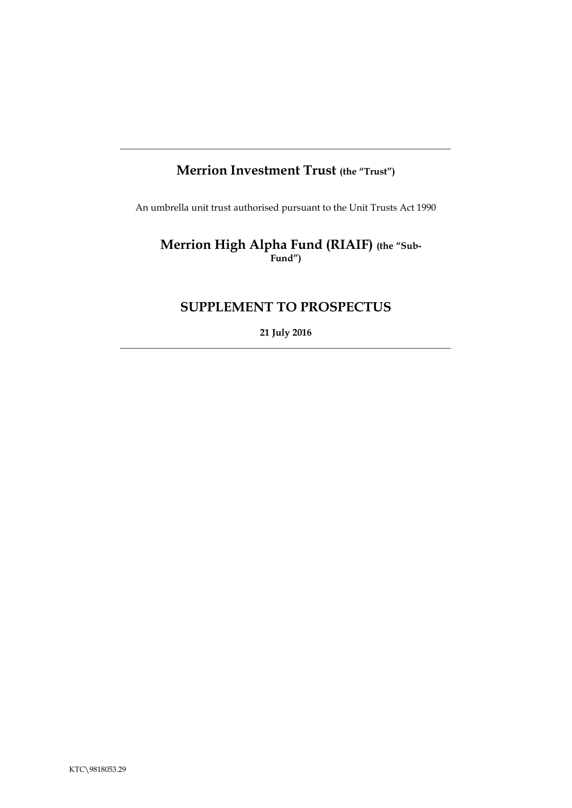# **Merrion Investment Trust (the "Trust")**

**\_\_\_\_\_\_\_\_\_\_\_\_\_\_\_\_\_\_\_\_\_\_\_\_\_\_\_\_\_\_\_\_\_\_\_\_\_\_\_\_\_\_\_\_\_\_\_\_\_\_\_\_\_\_\_\_\_\_\_\_\_\_\_\_\_\_\_\_\_**

An umbrella unit trust authorised pursuant to the Unit Trusts Act 1990

 **Merrion High Alpha Fund (RIAIF) (the "Sub-Fund")**

# **SUPPLEMENT TO PROSPECTUS**

**21 July 2016**  $\_$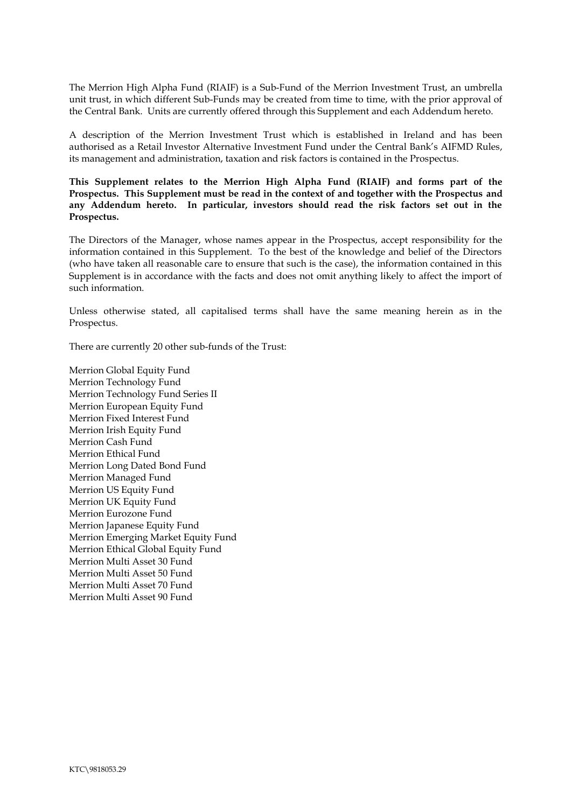The Merrion High Alpha Fund (RIAIF) is a Sub-Fund of the Merrion Investment Trust, an umbrella unit trust, in which different Sub-Funds may be created from time to time, with the prior approval of the Central Bank. Units are currently offered through this Supplement and each Addendum hereto.

A description of the Merrion Investment Trust which is established in Ireland and has been authorised as a Retail Investor Alternative Investment Fund under the Central Bank's AIFMD Rules, its management and administration, taxation and risk factors is contained in the Prospectus.

**This Supplement relates to the Merrion High Alpha Fund (RIAIF) and forms part of the Prospectus. This Supplement must be read in the context of and together with the Prospectus and any Addendum hereto. In particular, investors should read the risk factors set out in the Prospectus.** 

The Directors of the Manager, whose names appear in the Prospectus, accept responsibility for the information contained in this Supplement. To the best of the knowledge and belief of the Directors (who have taken all reasonable care to ensure that such is the case), the information contained in this Supplement is in accordance with the facts and does not omit anything likely to affect the import of such information.

Unless otherwise stated, all capitalised terms shall have the same meaning herein as in the Prospectus.

There are currently 20 other sub-funds of the Trust:

Merrion Global Equity Fund Merrion Technology Fund Merrion Technology Fund Series II Merrion European Equity Fund Merrion Fixed Interest Fund Merrion Irish Equity Fund Merrion Cash Fund Merrion Ethical Fund Merrion Long Dated Bond Fund Merrion Managed Fund Merrion US Equity Fund Merrion UK Equity Fund Merrion Eurozone Fund Merrion Japanese Equity Fund Merrion Emerging Market Equity Fund Merrion Ethical Global Equity Fund Merrion Multi Asset 30 Fund Merrion Multi Asset 50 Fund Merrion Multi Asset 70 Fund Merrion Multi Asset 90 Fund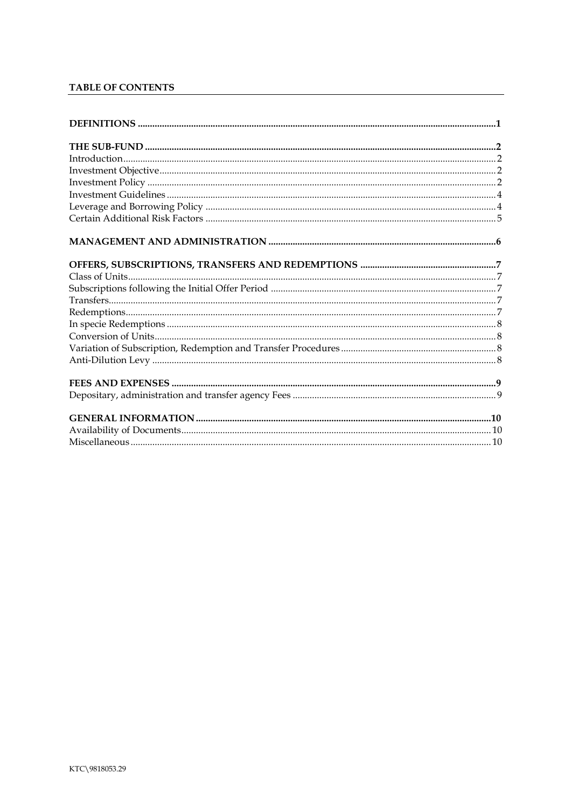# TABLE OF CONTENTS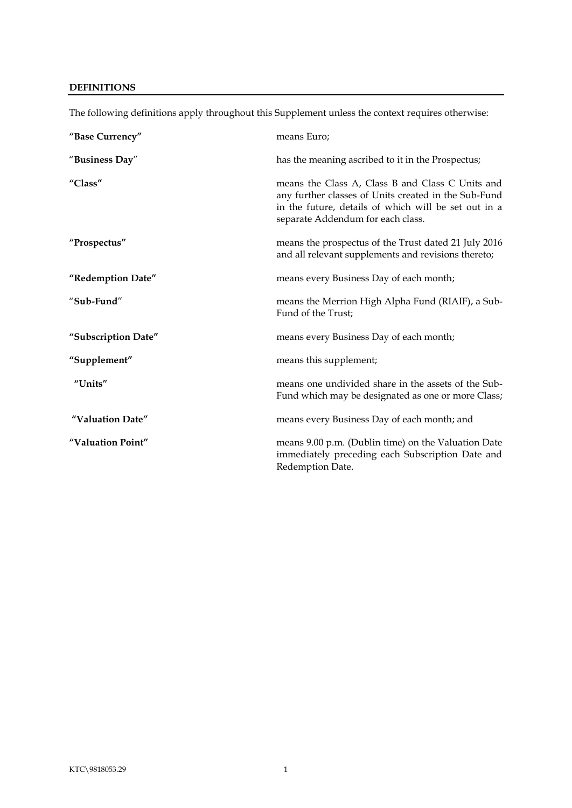# <span id="page-3-0"></span>**DEFINITIONS**

| "Base Currency"     | means Euro;                                                                                                                                                                                           |
|---------------------|-------------------------------------------------------------------------------------------------------------------------------------------------------------------------------------------------------|
| "Business Day"      | has the meaning ascribed to it in the Prospectus;                                                                                                                                                     |
| "Class"             | means the Class A, Class B and Class C Units and<br>any further classes of Units created in the Sub-Fund<br>in the future, details of which will be set out in a<br>separate Addendum for each class. |
| "Prospectus"        | means the prospectus of the Trust dated 21 July 2016<br>and all relevant supplements and revisions thereto;                                                                                           |
| "Redemption Date"   | means every Business Day of each month;                                                                                                                                                               |
| "Sub-Fund"          | means the Merrion High Alpha Fund (RIAIF), a Sub-<br>Fund of the Trust;                                                                                                                               |
| "Subscription Date" | means every Business Day of each month;                                                                                                                                                               |
| "Supplement"        | means this supplement;                                                                                                                                                                                |
| "Units"             | means one undivided share in the assets of the Sub-<br>Fund which may be designated as one or more Class;                                                                                             |
| "Valuation Date"    | means every Business Day of each month; and                                                                                                                                                           |
| "Valuation Point"   | means 9.00 p.m. (Dublin time) on the Valuation Date<br>immediately preceding each Subscription Date and<br>Redemption Date.                                                                           |

The following definitions apply throughout this Supplement unless the context requires otherwise: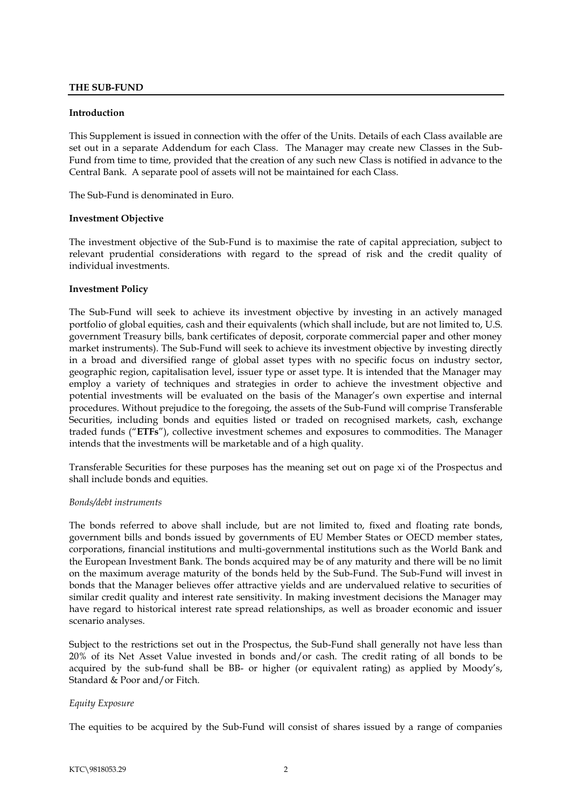## <span id="page-4-0"></span>**THE SUB-FUND**

#### <span id="page-4-1"></span>**Introduction**

This Supplement is issued in connection with the offer of the Units. Details of each Class available are set out in a separate Addendum for each Class. The Manager may create new Classes in the Sub-Fund from time to time, provided that the creation of any such new Class is notified in advance to the Central Bank. A separate pool of assets will not be maintained for each Class.

The Sub-Fund is denominated in Euro.

#### <span id="page-4-2"></span>**Investment Objective**

The investment objective of the Sub-Fund is to maximise the rate of capital appreciation, subject to relevant prudential considerations with regard to the spread of risk and the credit quality of individual investments.

### <span id="page-4-3"></span>**Investment Policy**

The Sub-Fund will seek to achieve its investment objective by investing in an actively managed portfolio of global equities, cash and their equivalents (which shall include, but are not limited to, U.S. government Treasury bills, bank certificates of deposit, corporate commercial paper and other money market instruments). The Sub-Fund will seek to achieve its investment objective by investing directly in a broad and diversified range of global asset types with no specific focus on industry sector, geographic region, capitalisation level, issuer type or asset type. It is intended that the Manager may employ a variety of techniques and strategies in order to achieve the investment objective and potential investments will be evaluated on the basis of the Manager's own expertise and internal procedures. Without prejudice to the foregoing, the assets of the Sub-Fund will comprise Transferable Securities, including bonds and equities listed or traded on recognised markets, cash, exchange traded funds ("**ETFs**"), collective investment schemes and exposures to commodities. The Manager intends that the investments will be marketable and of a high quality.

Transferable Securities for these purposes has the meaning set out on page xi of the Prospectus and shall include bonds and equities.

#### *Bonds/debt instruments*

The bonds referred to above shall include, but are not limited to, fixed and floating rate bonds, government bills and bonds issued by governments of EU Member States or OECD member states, corporations, financial institutions and multi-governmental institutions such as the World Bank and the European Investment Bank. The bonds acquired may be of any maturity and there will be no limit on the maximum average maturity of the bonds held by the Sub-Fund. The Sub-Fund will invest in bonds that the Manager believes offer attractive yields and are undervalued relative to securities of similar credit quality and interest rate sensitivity. In making investment decisions the Manager may have regard to historical interest rate spread relationships, as well as broader economic and issuer scenario analyses.

Subject to the restrictions set out in the Prospectus, the Sub-Fund shall generally not have less than 20% of its Net Asset Value invested in bonds and/or cash. The credit rating of all bonds to be acquired by the sub-fund shall be BB- or higher (or equivalent rating) as applied by Moody's, Standard & Poor and/or Fitch.

# *Equity Exposure*

The equities to be acquired by the Sub-Fund will consist of shares issued by a range of companies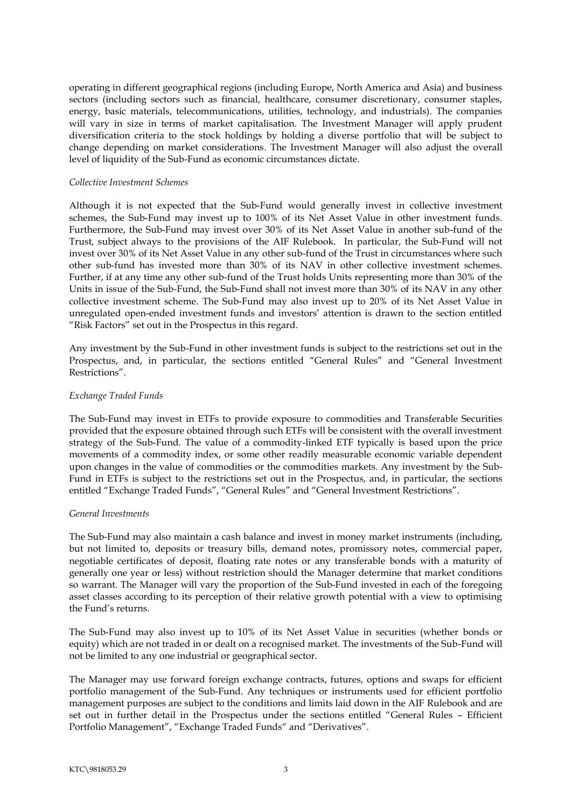operating in different geographical regions (including Europe, North America and Asia) and business sectors (including sectors such as financial, healthcare, consumer discretionary, consumer staples, energy, basic materials, telecommunications, utilities, technology, and industrials). The companies will vary in size in terms of market capitalisation. The Investment Manager will apply prudent diversification criteria to the stock holdings by holding a diverse portfolio that will be subject to change depending on market considerations. The Investment Manager will also adjust the overall level of liquidity of the Sub-Fund as economic circumstances dictate.

#### *Collective Investment Schemes*

Although it is not expected that the Sub-Fund would generally invest in collective investment schemes, the Sub-Fund may invest up to 100% of its Net Asset Value in other investment funds. Furthermore, the Sub-Fund may invest over 30% of its Net Asset Value in another sub-fund of the Trust, subject always to the provisions of the AIF Rulebook. In particular, the Sub-Fund will not invest over 30% of its Net Asset Value in any other sub-fund of the Trust in circumstances where such other sub-fund has invested more than 30% of its NAV in other collective investment schemes. Further, if at any time any other sub-fund of the Trust holds Units representing more than 30% of the Units in issue of the Sub-Fund, the Sub-Fund shall not invest more than 30% of its NAV in any other collective investment scheme. The Sub-Fund may also invest up to 20% of its Net Asset Value in unregulated open-ended investment funds and investors' attention is drawn to the section entitled "Risk Factors" set out in the Prospectus in this regard.

Any investment by the Sub-Fund in other investment funds is subject to the restrictions set out in the Prospectus, and, in particular, the sections entitled "General Rules" and "General Investment Restrictions".

### *Exchange Traded Funds*

The Sub-Fund may invest in ETFs to provide exposure to commodities and Transferable Securities provided that the exposure obtained through such ETFs will be consistent with the overall investment strategy of the Sub-Fund. The value of a commodity-linked ETF typically is based upon the price movements of a commodity index, or some other readily measurable economic variable dependent upon changes in the value of commodities or the commodities markets. Any investment by the Sub-Fund in ETFs is subject to the restrictions set out in the Prospectus, and, in particular, the sections entitled "Exchange Traded Funds", "General Rules" and "General Investment Restrictions".

#### *General Investments*

The Sub-Fund may also maintain a cash balance and invest in money market instruments (including, but not limited to, deposits or treasury bills, demand notes, promissory notes, commercial paper, negotiable certificates of deposit, floating rate notes or any transferable bonds with a maturity of generally one year or less) without restriction should the Manager determine that market conditions so warrant. The Manager will vary the proportion of the Sub-Fund invested in each of the foregoing asset classes according to its perception of their relative growth potential with a view to optimising the Fund's returns.

The Sub-Fund may also invest up to 10% of its Net Asset Value in securities (whether bonds or equity) which are not traded in or dealt on a recognised market. The investments of the Sub-Fund will not be limited to any one industrial or geographical sector.

The Manager may use forward foreign exchange contracts, futures, options and swaps for efficient portfolio management of the Sub-Fund. Any techniques or instruments used for efficient portfolio management purposes are subject to the conditions and limits laid down in the AIF Rulebook and are set out in further detail in the Prospectus under the sections entitled "General Rules – Efficient Portfolio Management", "Exchange Traded Funds" and "Derivatives".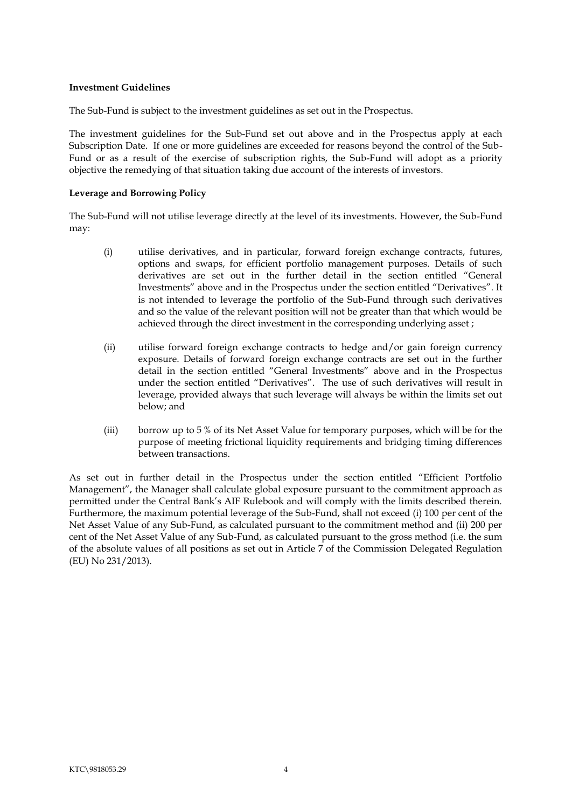#### <span id="page-6-0"></span>**Investment Guidelines**

The Sub-Fund is subject to the investment guidelines as set out in the Prospectus.

The investment guidelines for the Sub-Fund set out above and in the Prospectus apply at each Subscription Date. If one or more guidelines are exceeded for reasons beyond the control of the Sub-Fund or as a result of the exercise of subscription rights, the Sub-Fund will adopt as a priority objective the remedying of that situation taking due account of the interests of investors.

## **Leverage and Borrowing Policy**

The Sub-Fund will not utilise leverage directly at the level of its investments. However, the Sub-Fund may:

- <span id="page-6-1"></span>(i) utilise derivatives, and in particular, forward foreign exchange contracts, futures, options and swaps, for efficient portfolio management purposes. Details of such derivatives are set out in the further detail in the section entitled "General Investments" above and in the Prospectus under the section entitled "Derivatives". It is not intended to leverage the portfolio of the Sub-Fund through such derivatives and so the value of the relevant position will not be greater than that which would be achieved through the direct investment in the corresponding underlying asset ;
- (ii) utilise forward foreign exchange contracts to hedge and/or gain foreign currency exposure. Details of forward foreign exchange contracts are set out in the further detail in the section entitled "General Investments" above and in the Prospectus under the section entitled "Derivatives". The use of such derivatives will result in leverage, provided always that such leverage will always be within the limits set out below; and
- (iii) borrow up to 5 % of its Net Asset Value for temporary purposes, which will be for the purpose of meeting frictional liquidity requirements and bridging timing differences between transactions.

As set out in further detail in the Prospectus under the section entitled "Efficient Portfolio Management", the Manager shall calculate global exposure pursuant to the commitment approach as permitted under the Central Bank's AIF Rulebook and will comply with the limits described therein. Furthermore, the maximum potential leverage of the Sub-Fund, shall not exceed (i) 100 per cent of the Net Asset Value of any Sub-Fund, as calculated pursuant to the commitment method and (ii) 200 per cent of the Net Asset Value of any Sub-Fund, as calculated pursuant to the gross method (i.e. the sum of the absolute values of all positions as set out in Article 7 of the Commission Delegated Regulation (EU) No 231/2013).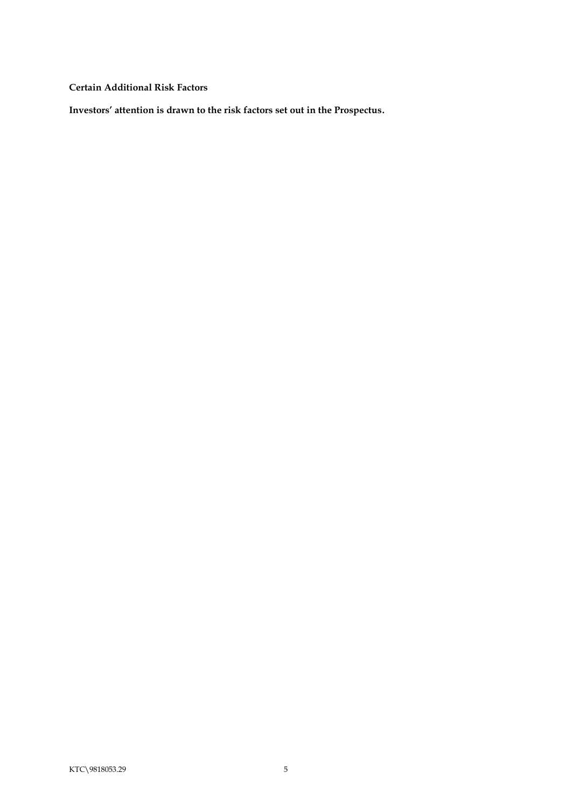<span id="page-7-0"></span>**Certain Additional Risk Factors**

**Investors' attention is drawn to the risk factors set out in the Prospectus.**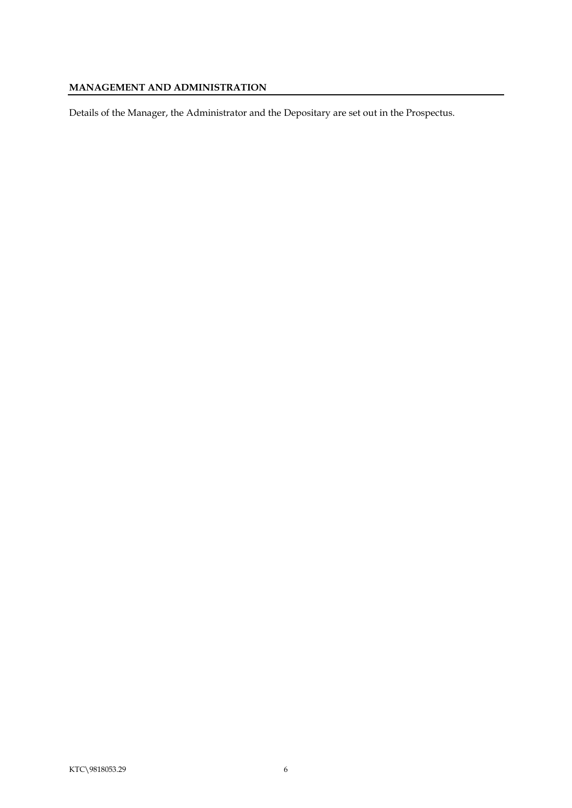# <span id="page-8-0"></span>**MANAGEMENT AND ADMINISTRATION**

Details of the Manager, the Administrator and the Depositary are set out in the Prospectus.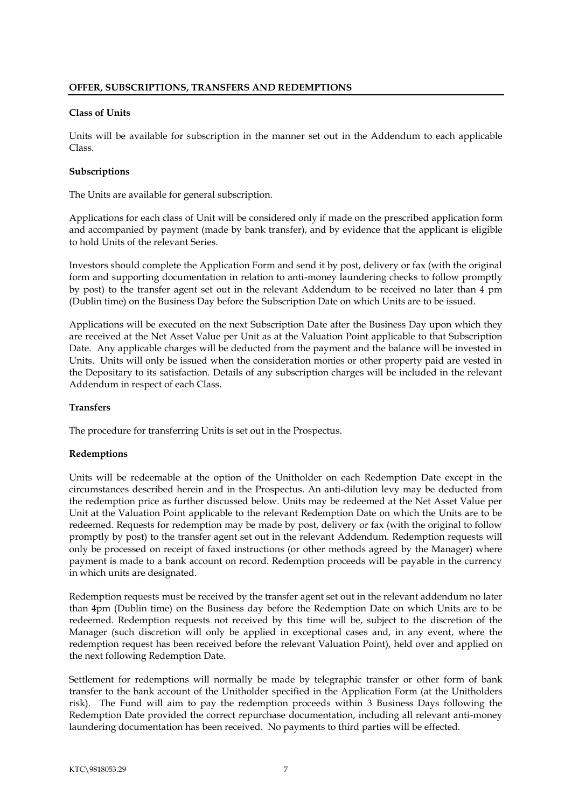#### <span id="page-9-1"></span><span id="page-9-0"></span>**Class of Units**

Units will be available for subscription in the manner set out in the Addendum to each applicable Class.

### <span id="page-9-2"></span>**Subscriptions**

The Units are available for general subscription.

Applications for each class of Unit will be considered only if made on the prescribed application form and accompanied by payment (made by bank transfer), and by evidence that the applicant is eligible to hold Units of the relevant Series.

Investors should complete the Application Form and send it by post, delivery or fax (with the original form and supporting documentation in relation to anti-money laundering checks to follow promptly by post) to the transfer agent set out in the relevant Addendum to be received no later than 4 pm (Dublin time) on the Business Day before the Subscription Date on which Units are to be issued.

Applications will be executed on the next Subscription Date after the Business Day upon which they are received at the Net Asset Value per Unit as at the Valuation Point applicable to that Subscription Date. Any applicable charges will be deducted from the payment and the balance will be invested in Units. Units will only be issued when the consideration monies or other property paid are vested in the Depositary to its satisfaction. Details of any subscription charges will be included in the relevant Addendum in respect of each Class.

## <span id="page-9-3"></span>**Transfers**

The procedure for transferring Units is set out in the Prospectus.

# <span id="page-9-4"></span>**Redemptions**

Units will be redeemable at the option of the Unitholder on each Redemption Date except in the circumstances described herein and in the Prospectus. An anti-dilution levy may be deducted from the redemption price as further discussed below. Units may be redeemed at the Net Asset Value per Unit at the Valuation Point applicable to the relevant Redemption Date on which the Units are to be redeemed. Requests for redemption may be made by post, delivery or fax (with the original to follow promptly by post) to the transfer agent set out in the relevant Addendum. Redemption requests will only be processed on receipt of faxed instructions (or other methods agreed by the Manager) where payment is made to a bank account on record. Redemption proceeds will be payable in the currency in which units are designated.

Redemption requests must be received by the transfer agent set out in the relevant addendum no later than 4pm (Dublin time) on the Business day before the Redemption Date on which Units are to be redeemed. Redemption requests not received by this time will be, subject to the discretion of the Manager (such discretion will only be applied in exceptional cases and, in any event, where the redemption request has been received before the relevant Valuation Point), held over and applied on the next following Redemption Date.

Settlement for redemptions will normally be made by telegraphic transfer or other form of bank transfer to the bank account of the Unitholder specified in the Application Form (at the Unitholders risk). The Fund will aim to pay the redemption proceeds within 3 Business Days following the Redemption Date provided the correct repurchase documentation, including all relevant anti-money laundering documentation has been received. No payments to third parties will be effected.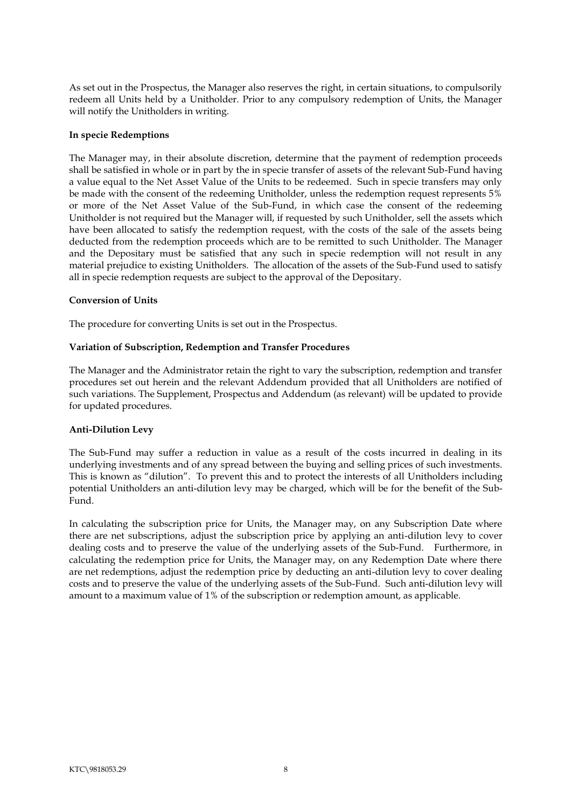As set out in the Prospectus, the Manager also reserves the right, in certain situations, to compulsorily redeem all Units held by a Unitholder. Prior to any compulsory redemption of Units, the Manager will notify the Unitholders in writing.

#### <span id="page-10-0"></span>**In specie Redemptions**

The Manager may, in their absolute discretion, determine that the payment of redemption proceeds shall be satisfied in whole or in part by the in specie transfer of assets of the relevant Sub-Fund having a value equal to the Net Asset Value of the Units to be redeemed. Such in specie transfers may only be made with the consent of the redeeming Unitholder, unless the redemption request represents 5% or more of the Net Asset Value of the Sub-Fund, in which case the consent of the redeeming Unitholder is not required but the Manager will, if requested by such Unitholder, sell the assets which have been allocated to satisfy the redemption request, with the costs of the sale of the assets being deducted from the redemption proceeds which are to be remitted to such Unitholder. The Manager and the Depositary must be satisfied that any such in specie redemption will not result in any material prejudice to existing Unitholders. The allocation of the assets of the Sub-Fund used to satisfy all in specie redemption requests are subject to the approval of the Depositary.

### <span id="page-10-1"></span>**Conversion of Units**

The procedure for converting Units is set out in the Prospectus.

#### <span id="page-10-2"></span>**Variation of Subscription, Redemption and Transfer Procedures**

The Manager and the Administrator retain the right to vary the subscription, redemption and transfer procedures set out herein and the relevant Addendum provided that all Unitholders are notified of such variations. The Supplement, Prospectus and Addendum (as relevant) will be updated to provide for updated procedures.

#### <span id="page-10-3"></span>**Anti-Dilution Levy**

The Sub-Fund may suffer a reduction in value as a result of the costs incurred in dealing in its underlying investments and of any spread between the buying and selling prices of such investments. This is known as "dilution". To prevent this and to protect the interests of all Unitholders including potential Unitholders an anti-dilution levy may be charged, which will be for the benefit of the Sub-Fund.

In calculating the subscription price for Units, the Manager may, on any Subscription Date where there are net subscriptions, adjust the subscription price by applying an anti-dilution levy to cover dealing costs and to preserve the value of the underlying assets of the Sub-Fund. Furthermore, in calculating the redemption price for Units, the Manager may, on any Redemption Date where there are net redemptions, adjust the redemption price by deducting an anti-dilution levy to cover dealing costs and to preserve the value of the underlying assets of the Sub-Fund. Such anti-dilution levy will amount to a maximum value of 1% of the subscription or redemption amount, as applicable.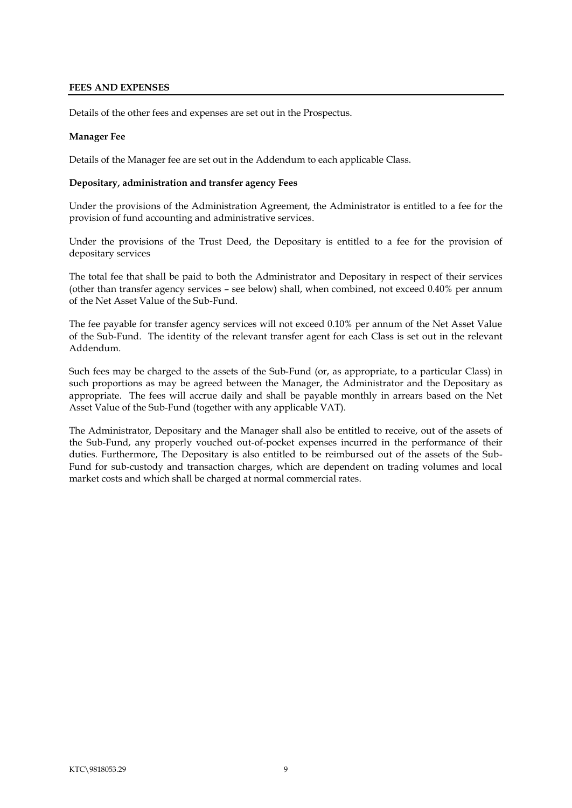### <span id="page-11-0"></span>**FEES AND EXPENSES**

Details of the other fees and expenses are set out in the Prospectus.

### **Manager Fee**

Details of the Manager fee are set out in the Addendum to each applicable Class.

#### <span id="page-11-1"></span>**Depositary, administration and transfer agency Fees**

Under the provisions of the Administration Agreement, the Administrator is entitled to a fee for the provision of fund accounting and administrative services.

Under the provisions of the Trust Deed, the Depositary is entitled to a fee for the provision of depositary services

The total fee that shall be paid to both the Administrator and Depositary in respect of their services (other than transfer agency services – see below) shall, when combined, not exceed 0.40% per annum of the Net Asset Value of the Sub-Fund.

The fee payable for transfer agency services will not exceed 0.10% per annum of the Net Asset Value of the Sub-Fund. The identity of the relevant transfer agent for each Class is set out in the relevant Addendum.

Such fees may be charged to the assets of the Sub-Fund (or, as appropriate, to a particular Class) in such proportions as may be agreed between the Manager, the Administrator and the Depositary as appropriate. The fees will accrue daily and shall be payable monthly in arrears based on the Net Asset Value of the Sub-Fund (together with any applicable VAT).

The Administrator, Depositary and the Manager shall also be entitled to receive, out of the assets of the Sub-Fund, any properly vouched out-of-pocket expenses incurred in the performance of their duties. Furthermore, The Depositary is also entitled to be reimbursed out of the assets of the Sub-Fund for sub-custody and transaction charges, which are dependent on trading volumes and local market costs and which shall be charged at normal commercial rates.